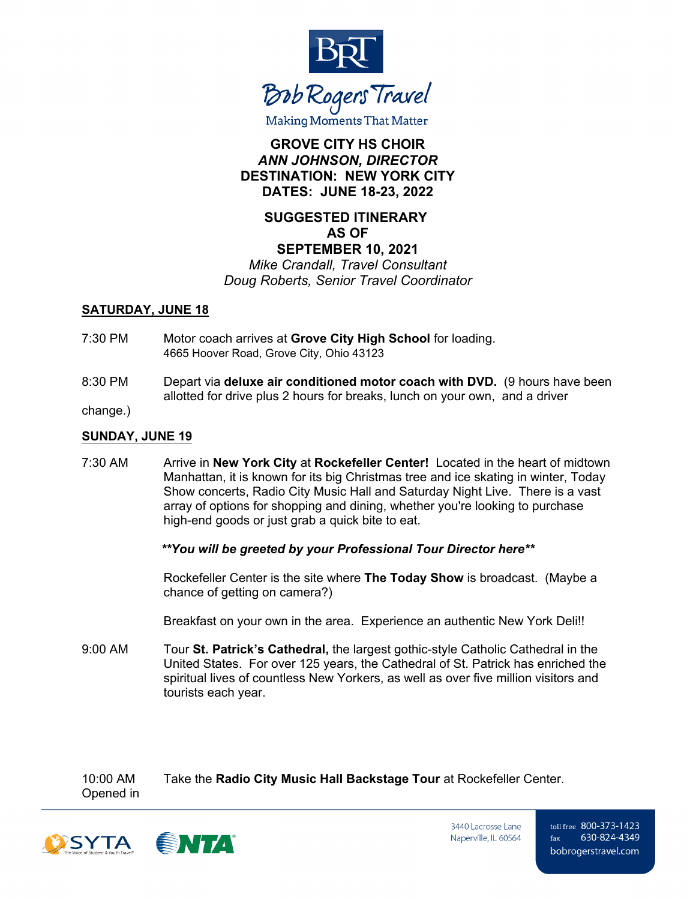

# **GROVE CITY HS CHOIR** *ANN JOHNSON, DIRECTOR* **DESTINATION: NEW YORK CITY DATES: JUNE 18-23, 2022**

# **SUGGESTED ITINERARY AS OF SEPTEMBER 10, 2021**

*Mike Crandall, Travel Consultant Doug Roberts, Senior Travel Coordinator*

#### **SATURDAY, JUNE 18**

- 7:30 PM Motor coach arrives at **Grove City High School** for loading. 4665 Hoover Road, Grove City, Ohio 43123
- 8:30 PM Depart via **deluxe air conditioned motor coach with DVD.** (9 hours have been allotted for drive plus 2 hours for breaks, lunch on your own, and a driver

change.)

#### **SUNDAY, JUNE 19**

7:30 AM Arrive in **New York City** at **Rockefeller Center!** Located in the heart of midtown Manhattan, it is known for its big Christmas tree and ice skating in winter, Today Show concerts, Radio City Music Hall and Saturday Night Live. There is a vast array of options for shopping and dining, whether you're looking to purchase high-end goods or just grab a quick bite to eat.

#### *\*\*You will be greeted by your Professional Tour Director here\*\**

Rockefeller Center is the site where **The Today Show** is broadcast. (Maybe a chance of getting on camera?)

Breakfast on your own in the area. Experience an authentic New York Deli!!

9:00 AM Tour **St. Patrick's Cathedral,** the largest gothic-style Catholic Cathedral in the United States. For over 125 years, the Cathedral of St. Patrick has enriched the spiritual lives of countless New Yorkers, as well as over five million visitors and tourists each year.

10:00 AM Take the **Radio City Music Hall Backstage Tour** at Rockefeller Center. Opened in



3440 Lacrosse Lane Naperville, IL 60564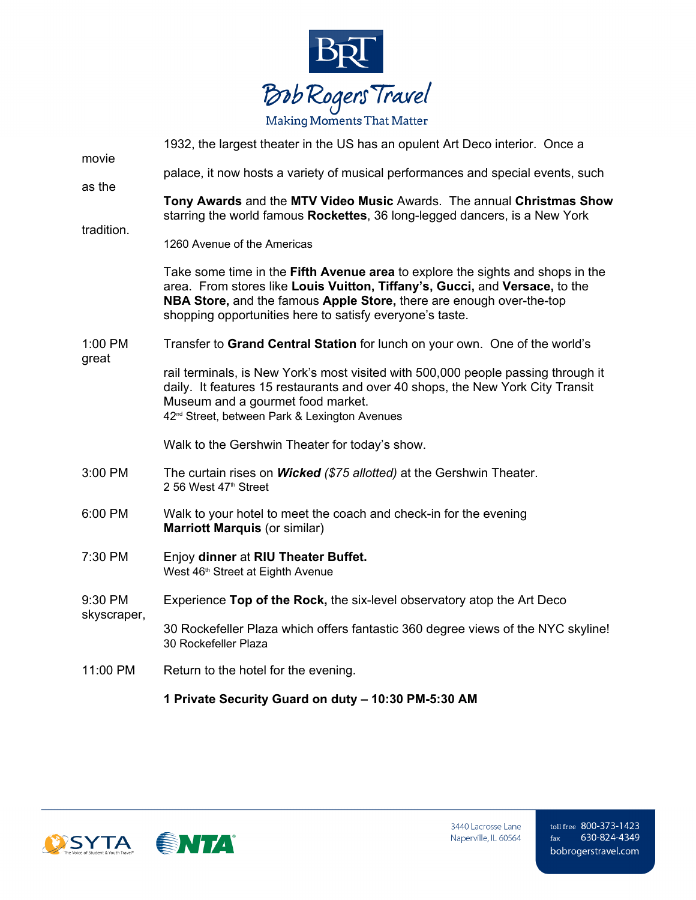

| movie                  | 1932, the largest theater in the US has an opulent Art Deco interior. Once a                                                                                                                                                                                                                             |
|------------------------|----------------------------------------------------------------------------------------------------------------------------------------------------------------------------------------------------------------------------------------------------------------------------------------------------------|
|                        | palace, it now hosts a variety of musical performances and special events, such                                                                                                                                                                                                                          |
| as the<br>tradition.   | Tony Awards and the MTV Video Music Awards. The annual Christmas Show<br>starring the world famous Rockettes, 36 long-legged dancers, is a New York                                                                                                                                                      |
|                        | 1260 Avenue of the Americas                                                                                                                                                                                                                                                                              |
| 1:00 PM<br>great       | Take some time in the <b>Fifth Avenue area</b> to explore the sights and shops in the<br>area. From stores like Louis Vuitton, Tiffany's, Gucci, and Versace, to the<br>NBA Store, and the famous Apple Store, there are enough over-the-top<br>shopping opportunities here to satisfy everyone's taste. |
|                        | Transfer to Grand Central Station for lunch on your own. One of the world's                                                                                                                                                                                                                              |
|                        | rail terminals, is New York's most visited with 500,000 people passing through it<br>daily. It features 15 restaurants and over 40 shops, the New York City Transit<br>Museum and a gourmet food market.<br>42 <sup>nd</sup> Street, between Park & Lexington Avenues                                    |
|                        | Walk to the Gershwin Theater for today's show.                                                                                                                                                                                                                                                           |
| 3:00 PM                | The curtain rises on Wicked (\$75 allotted) at the Gershwin Theater.<br>2 56 West 47th Street                                                                                                                                                                                                            |
| 6:00 PM                | Walk to your hotel to meet the coach and check-in for the evening<br><b>Marriott Marquis (or similar)</b>                                                                                                                                                                                                |
| 7:30 PM                | Enjoy dinner at RIU Theater Buffet.<br>West 46 <sup>th</sup> Street at Eighth Avenue                                                                                                                                                                                                                     |
| 9:30 PM<br>skyscraper, | Experience Top of the Rock, the six-level observatory atop the Art Deco                                                                                                                                                                                                                                  |
|                        | 30 Rockefeller Plaza which offers fantastic 360 degree views of the NYC skyline!<br>30 Rockefeller Plaza                                                                                                                                                                                                 |
| 11:00 PM               | Return to the hotel for the evening.                                                                                                                                                                                                                                                                     |
|                        | 1 Private Security Guard on duty - 10:30 PM-5:30 AM                                                                                                                                                                                                                                                      |

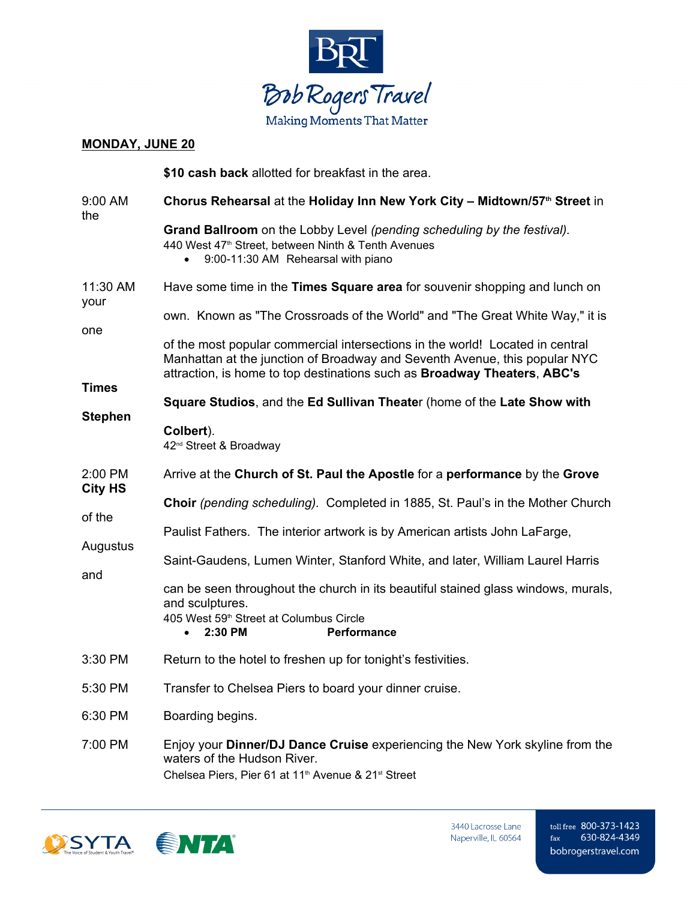

### **MONDAY, JUNE 20**

|                          | \$10 cash back allotted for breakfast in the area.                                                                                                                                                                                             |
|--------------------------|------------------------------------------------------------------------------------------------------------------------------------------------------------------------------------------------------------------------------------------------|
| 9:00 AM<br>the           | Chorus Rehearsal at the Holiday Inn New York City - Midtown/57th Street in                                                                                                                                                                     |
|                          | Grand Ballroom on the Lobby Level (pending scheduling by the festival).<br>440 West 47 <sup>th</sup> Street, between Ninth & Tenth Avenues<br>9:00-11:30 AM Rehearsal with piano                                                               |
| 11:30 AM<br>your<br>one  | Have some time in the Times Square area for souvenir shopping and lunch on                                                                                                                                                                     |
|                          | own. Known as "The Crossroads of the World" and "The Great White Way," it is                                                                                                                                                                   |
|                          | of the most popular commercial intersections in the world! Located in central<br>Manhattan at the junction of Broadway and Seventh Avenue, this popular NYC<br>attraction, is home to top destinations such as <b>Broadway Theaters, ABC's</b> |
| <b>Times</b>             | Square Studios, and the Ed Sullivan Theater (home of the Late Show with                                                                                                                                                                        |
| <b>Stephen</b>           | Colbert).<br>42 <sup>nd</sup> Street & Broadway                                                                                                                                                                                                |
| 2:00 PM                  | Arrive at the Church of St. Paul the Apostle for a performance by the Grove                                                                                                                                                                    |
| <b>City HS</b><br>of the | Choir (pending scheduling). Completed in 1885, St. Paul's in the Mother Church                                                                                                                                                                 |
| Augustus                 | Paulist Fathers. The interior artwork is by American artists John LaFarge,                                                                                                                                                                     |
|                          | Saint-Gaudens, Lumen Winter, Stanford White, and later, William Laurel Harris                                                                                                                                                                  |
| and                      | can be seen throughout the church in its beautiful stained glass windows, murals,<br>and sculptures.<br>405 West 59 <sup>th</sup> Street at Columbus Circle<br>2:30 PM<br><b>Performance</b>                                                   |
| 3:30 PM                  | Return to the hotel to freshen up for tonight's festivities.                                                                                                                                                                                   |
| 5:30 PM                  | Transfer to Chelsea Piers to board your dinner cruise.                                                                                                                                                                                         |
| 6:30 PM                  | Boarding begins.                                                                                                                                                                                                                               |
| 7:00 PM                  | Enjoy your <b>Dinner/DJ Dance Cruise</b> experiencing the New York skyline from the<br>waters of the Hudson River.                                                                                                                             |

Chelsea Piers, Pier 61 at 11<sup>th</sup> Avenue & 21<sup>st</sup> Street

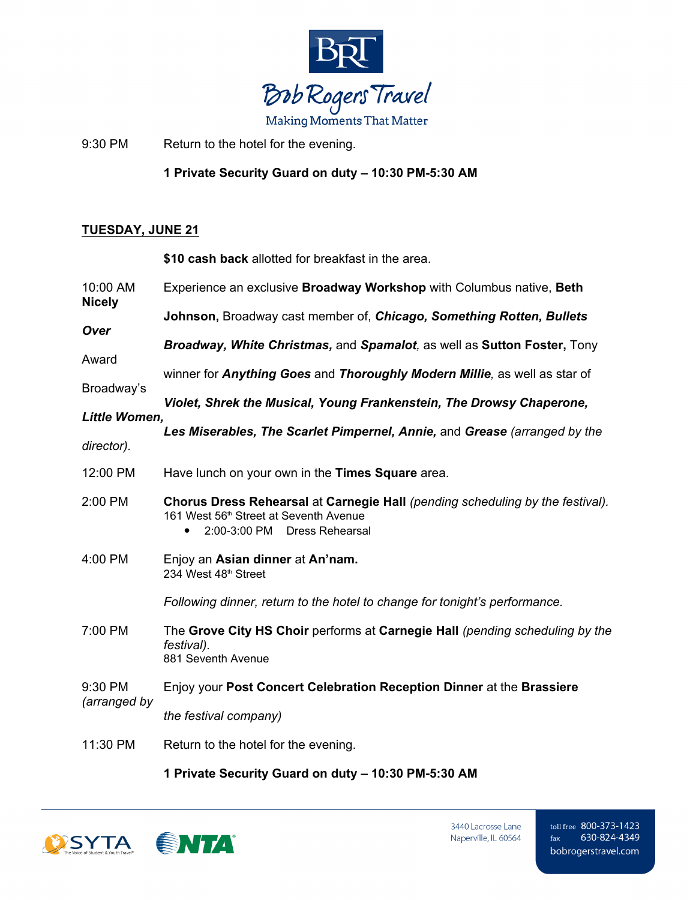

9:30 PM Return to the hotel for the evening.

**1 Private Security Guard on duty – 10:30 PM-5:30 AM**

# **TUESDAY, JUNE 21**

**\$10 cash back** allotted for breakfast in the area.

| 10:00 AM<br><b>Nicely</b> | Experience an exclusive <b>Broadway Workshop</b> with Columbus native, Beth                                                                                                                |
|---------------------------|--------------------------------------------------------------------------------------------------------------------------------------------------------------------------------------------|
| Over                      | Johnson, Broadway cast member of, Chicago, Something Rotten, Bullets                                                                                                                       |
| Award<br>Broadway's       | Broadway, White Christmas, and Spamalot, as well as Sutton Foster, Tony                                                                                                                    |
|                           | winner for Anything Goes and Thoroughly Modern Millie, as well as star of                                                                                                                  |
|                           | Violet, Shrek the Musical, Young Frankenstein, The Drowsy Chaperone,                                                                                                                       |
| Little Women,             | Les Miserables, The Scarlet Pimpernel, Annie, and Grease (arranged by the                                                                                                                  |
| director).                |                                                                                                                                                                                            |
| 12:00 PM                  | Have lunch on your own in the Times Square area.                                                                                                                                           |
| 2:00 PM                   | Chorus Dress Rehearsal at Carnegie Hall (pending scheduling by the festival).<br>161 West 56 <sup>th</sup> Street at Seventh Avenue<br>2:00-3:00 PM<br><b>Dress Rehearsal</b><br>$\bullet$ |
| 4:00 PM                   | Enjoy an Asian dinner at An'nam.<br>234 West 48th Street                                                                                                                                   |
|                           | Following dinner, return to the hotel to change for tonight's performance.                                                                                                                 |
| 7:00 PM                   | The Grove City HS Choir performs at Carnegie Hall (pending scheduling by the<br>festival).<br>881 Seventh Avenue                                                                           |
| 9:30 PM                   | Enjoy your Post Concert Celebration Reception Dinner at the Brassiere                                                                                                                      |
| (arranged by              | the festival company)                                                                                                                                                                      |
| 11:30 PM                  | Return to the hotel for the evening.                                                                                                                                                       |

**1 Private Security Guard on duty – 10:30 PM-5:30 AM**

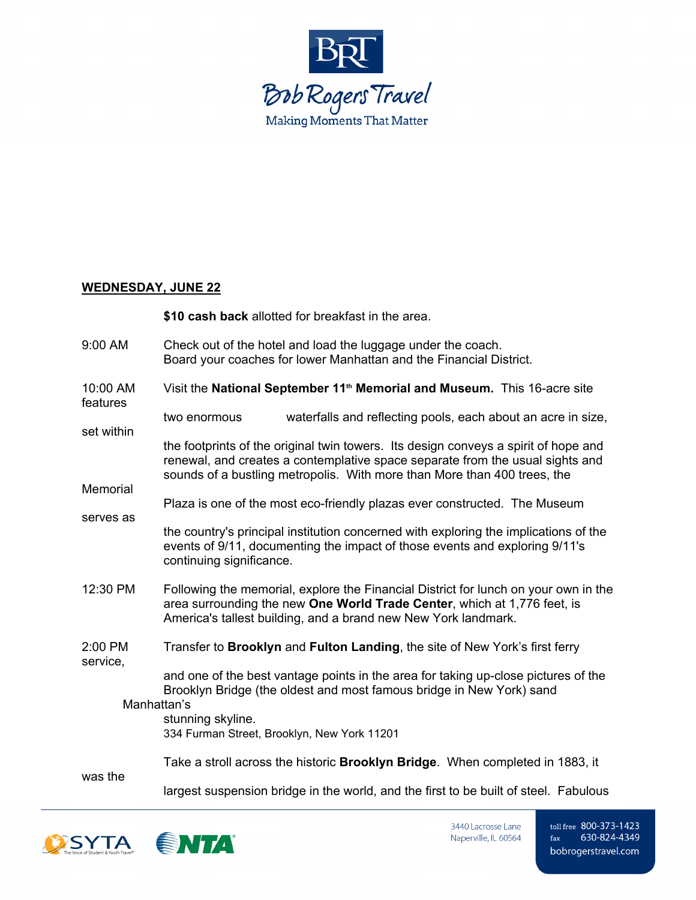

#### **WEDNESDAY, JUNE 22**

|                      | \$10 cash back allotted for breakfast in the area.                                                                                                                                                                                               |
|----------------------|--------------------------------------------------------------------------------------------------------------------------------------------------------------------------------------------------------------------------------------------------|
| 9:00 AM              | Check out of the hotel and load the luggage under the coach.<br>Board your coaches for lower Manhattan and the Financial District.                                                                                                               |
| 10:00 AM<br>features | Visit the National September 11 <sup>th</sup> Memorial and Museum. This 16-acre site                                                                                                                                                             |
| set within           | waterfalls and reflecting pools, each about an acre in size,<br>two enormous                                                                                                                                                                     |
| Memorial             | the footprints of the original twin towers. Its design conveys a spirit of hope and<br>renewal, and creates a contemplative space separate from the usual sights and<br>sounds of a bustling metropolis. With more than More than 400 trees, the |
|                      | Plaza is one of the most eco-friendly plazas ever constructed. The Museum                                                                                                                                                                        |
| serves as            | the country's principal institution concerned with exploring the implications of the<br>events of 9/11, documenting the impact of those events and exploring 9/11's<br>continuing significance.                                                  |
| 12:30 PM             | Following the memorial, explore the Financial District for lunch on your own in the<br>area surrounding the new One World Trade Center, which at 1,776 feet, is<br>America's tallest building, and a brand new New York landmark.                |
| 2:00 PM<br>service,  | Transfer to Brooklyn and Fulton Landing, the site of New York's first ferry                                                                                                                                                                      |
|                      | and one of the best vantage points in the area for taking up-close pictures of the<br>Brooklyn Bridge (the oldest and most famous bridge in New York) sand<br>Manhattan's                                                                        |
|                      | stunning skyline.<br>334 Furman Street, Brooklyn, New York 11201                                                                                                                                                                                 |
| was the              | Take a stroll across the historic <b>Brooklyn Bridge</b> . When completed in 1883, it                                                                                                                                                            |
|                      | largest suspension bridge in the world, and the first to be built of steel. Fabulous                                                                                                                                                             |



3440 Lacrosse Lane Naperville, IL 60564